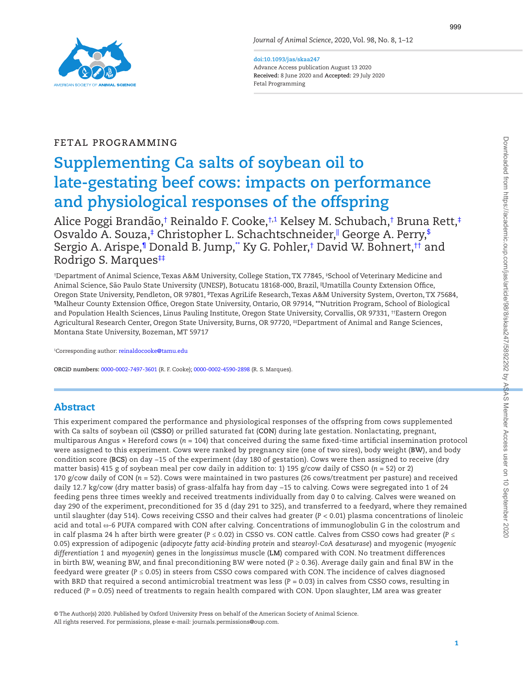

**doi:10.1093/jas/skaa247** Advance Access publication August 13 2020 **Received:** 8 June 2020 and **Accepted:** 29 July 2020 Fetal Programming

# FETAL PROGRAMMING

# **Supplementing Ca salts of soybean oil to late-gestating beef cows: impacts on performance and physiological responses of the offspring**

Alice Poggi Brandão,[†](#page-0-0) [Reinaldo F. Cooke,](http://orcid.org/0000-0002-7497-3601)[†,1](#page-0-0) Kelsey M. Schubach[,†](#page-0-0) Bruna Rett[,‡](#page-0-1) Osvaldo A. Souza[,‡](#page-0-1) Christopher L. Schachtschneider," George A. Perry[,\\$](#page-0-2) Sergio A. Arispe,[¶](#page-0-3) Donald B. Jump,[\\*\\*](#page-0-4) Ky G. Pohler[,†](#page-0-0) David W. Bohnert[,††](#page-0-0) and [Rodrigo S. Marques](http://orcid.org/0000-0002-4590-2898)<sup>##</sup>

<span id="page-0-4"></span><span id="page-0-3"></span><span id="page-0-2"></span><span id="page-0-1"></span><span id="page-0-0"></span>† Department of Animal Science, Texas A&M University, College Station, TX 77845, ‡ School of Veterinary Medicine and Animal Science, São Paulo State University (UNESP), Botucatu 18168-000, Brazil, ||Umatilla County Extension Office, Oregon State University, Pendleton, OR 97801, <sup>ş</sup>Texas AgriLife Research, Texas A&M University System, Overton, TX 75684, ¶Malheur County Extension Office, Oregon State University, Ontario, OR 97914, \*\*Nutrition Program, School of Biological and Population Health Sciences, Linus Pauling Institute, Oregon State University, Corvallis, OR 97331, ††Eastern Oregon Agricultural Research Center, Oregon State University, Burns, OR 97720, #Department of Animal and Range Sciences, Montana State University, Bozeman, MT 59717

<span id="page-0-5"></span>1 Corresponding author: [reinaldocooke@tamu.edu](mailto:reinaldocooke@tamu.edu?subject=)

**ORCiD numbers:** [0000-0002-7497-3601](http://orcid.org/0000-0002-7497-3601) (R. F. Cooke); [0000-0002-4590-2898](http://orcid.org/0000-0002-4590-2898) (R. S. Marques).

## Abstract

This experiment compared the performance and physiological responses of the offspring from cows supplemented with Ca salts of soybean oil (**CSSO**) or prilled saturated fat (**CON**) during late gestation. Nonlactating, pregnant, multiparous Angus × Hereford cows (*n* = 104) that conceived during the same fixed-time artificial insemination protocol were assigned to this experiment. Cows were ranked by pregnancy sire (one of two sires), body weight (**BW**), and body condition score (**BCS**) on day −15 of the experiment (day 180 of gestation). Cows were then assigned to receive (dry matter basis) 415 g of soybean meal per cow daily in addition to: 1) 195 g/cow daily of CSSO (*n* = 52) or 2) 170 g/cow daily of CON (*n* = 52). Cows were maintained in two pastures (26 cows/treatment per pasture) and received daily 12.7 kg/cow (dry matter basis) of grass-alfalfa hay from day −15 to calving. Cows were segregated into 1 of 24 feeding pens three times weekly and received treatments individually from day 0 to calving. Calves were weaned on day 290 of the experiment, preconditioned for 35 d (day 291 to 325), and transferred to a feedyard, where they remained until slaughter (day 514). Cows receiving CSSO and their calves had greater (*P <* 0.01) plasma concentrations of linoleic acid and total ω-6 PUFA compared with CON after calving. Concentrations of immunoglobulin G in the colostrum and in calf plasma 24 h after birth were greater (*P* ≤ 0.02) in CSSO vs. CON cattle. Calves from CSSO cows had greater (*P* ≤ 0.05) expression of adipogenic (*adipocyte fatty acid-binding protein* and s*tearoyl-CoA desaturase*) and myogenic (*myogenic differentiation 1* and *myogenin*) genes in the *longissimus* muscle (**LM**) compared with CON. No treatment differences in birth BW, weaning BW, and final preconditioning BW were noted (*P* ≥ 0.36). Average daily gain and final BW in the feedyard were greater (*P* ≤ 0.05) in steers from CSSO cows compared with CON. The incidence of calves diagnosed with BRD that required a second antimicrobial treatment was less (*P* = 0.03) in calves from CSSO cows, resulting in reduced (*P* = 0.05) need of treatments to regain health compared with CON. Upon slaughter, LM area was greater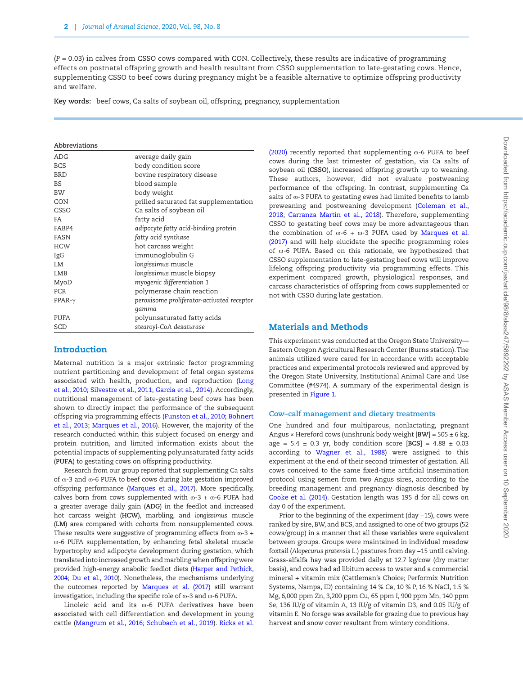(*P* = 0.03) in calves from CSSO cows compared with CON. Collectively, these results are indicative of programming effects on postnatal offspring growth and health resultant from CSSO supplementation to late-gestating cows. Hence, supplementing CSSO to beef cows during pregnancy might be a feasible alternative to optimize offspring productivity and welfare.

**Key words:** beef cows, Ca salts of soybean oil, offspring, pregnancy, supplementation

#### **Abbreviations**

L

| ADG           | average daily gain                         |
|---------------|--------------------------------------------|
| <b>BCS</b>    | body condition score                       |
| <b>BRD</b>    | bovine respiratory disease                 |
| <b>BS</b>     | blood sample                               |
| <b>BW</b>     | body weight                                |
| CON           | prilled saturated fat supplementation      |
| CSSO          | Ca salts of soybean oil                    |
| FA            | fatty acid                                 |
| FABP4         | adipocyte fatty acid-binding protein       |
| FASN          | fatty acid synthase                        |
| <b>HCW</b>    | hot carcass weight                         |
| IgG           | immunoglobulin G                           |
| LM            | longissimus muscle                         |
| LMB           | longissimus muscle biopsy                  |
| MyoD          | myogenic differentiation 1                 |
| <b>PCR</b>    | polymerase chain reaction                  |
| $PPAR-\gamma$ | peroxisome proliferator-activated receptor |
|               | gamma                                      |
| PUFA          | polyunsaturated fatty acids                |
| SCD           | stearoyl-CoA desaturase                    |

## Introduction

Maternal nutrition is a major extrinsic factor programming nutrient partitioning and development of fetal organ systems associated with health, production, and reproduction [\(Long](#page-10-0) [et al., 2010;](#page-10-0) [Silvestre et al., 2011](#page-11-0); [Garcia et al., 2014](#page-9-0)). Accordingly, nutritional management of late-gestating beef cows has been shown to directly impact the performance of the subsequent offspring via programming effects ([Funston et al., 2010;](#page-9-1) [Bohnert](#page-9-2) [et al., 2013](#page-9-2); [Marques et al., 2016\)](#page-10-1). However, the majority of the research conducted within this subject focused on energy and protein nutrition, and limited information exists about the potential impacts of supplementing polyunsaturated fatty acids (**PUFA**) to gestating cows on offspring productivity.

Research from our group reported that supplementing Ca salts of  $\omega$ -3 and  $\omega$ -6 PUFA to beef cows during late gestation improved offspring performance [\(Marques et al., 2017\)](#page-10-2). More specifically, calves born from cows supplemented with  $\omega$ -3 +  $\omega$ -6 PUFA had a greater average daily gain (**ADG**) in the feedlot and increased hot carcass weight (**HCW**), marbling, and *longissimus* muscle (**LM**) area compared with cohorts from nonsupplemented cows. These results were suggestive of programming effects from  $\omega$ -3 + ɷ-6 PUFA supplementation, by enhancing fetal skeletal muscle hypertrophy and adipocyte development during gestation, which translated into increased growth and marbling when offspring were provided high-energy anabolic feedlot diets ([Harper and Pethick,](#page-9-3) [2004](#page-9-3); [Du et al., 2010\)](#page-9-4). Nonetheless, the mechanisms underlying the outcomes reported by [Marques et al. \(2017\)](#page-10-2) still warrant investigation, including the specific role of  $\omega$ -3 and  $\omega$ -6 PUFA.

Linoleic acid and its o-6 PUFA derivatives have been associated with cell differentiation and development in young cattle ([Mangrum et al., 2016](#page-10-3); [Schubach et al., 2019](#page-10-4)). [Ricks et al.](#page-10-5) [\(2020\)](#page-10-5) recently reported that supplementing  $\omega$ -6 PUFA to beef cows during the last trimester of gestation, via Ca salts of soybean oil (**CSSO**), increased offspring growth up to weaning. These authors, however, did not evaluate postweaning performance of the offspring. In contrast, supplementing Ca salts of  $\infty$ -3 PUFA to gestating ewes had limited benefits to lamb preweaning and postweaning development [\(Coleman et al.,](#page-9-5) [2018;](#page-9-5) [Carranza Martin et al., 2018\)](#page-9-6). Therefore, supplementing CSSO to gestating beef cows may be more advantageous than the combination of  $\omega$ -6 +  $\omega$ -3 PUFA used by Marques et al. [\(2017\)](#page-10-2) and will help elucidate the specific programming roles of  $\infty$ -6 PUFA. Based on this rationale, we hypothesized that CSSO supplementation to late-gestating beef cows will improve lifelong offspring productivity via programming effects. This experiment compared growth, physiological responses, and carcass characteristics of offspring from cows supplemented or not with CSSO during late gestation.

## Materials and Methods

This experiment was conducted at the Oregon State University— Eastern Oregon Agricultural Research Center (Burns station). The animals utilized were cared for in accordance with acceptable practices and experimental protocols reviewed and approved by the Oregon State University, Institutional Animal Care and Use Committee (#4974). A summary of the experimental design is presented in [Figure 1](#page-2-0).

#### **Cow–calf management and dietary treatments**

One hundred and four multiparous, nonlactating, pregnant Angus × Hereford cows (unshrunk body weight [**BW**] = 505 ± 6 kg, age =  $5.4 \pm 0.3$  yr, body condition score  $[BCS] = 4.88 \pm 0.03$ according to [Wagner et al., 1988\)](#page-11-1) were assigned to this experiment at the end of their second trimester of gestation. All cows conceived to the same fixed-time artificial insemination protocol using semen from two Angus sires, according to the breeding management and pregnancy diagnosis described by [Cooke et al. \(2014\)](#page-9-7). Gestation length was 195 d for all cows on day 0 of the experiment.

Prior to the beginning of the experiment (day −15), cows were ranked by sire, BW, and BCS, and assigned to one of two groups (52 cows/group) in a manner that all these variables were equivalent between groups. Groups were maintained in individual meadow foxtail (*Alopecurus pratensis* L.) pastures from day −15 until calving. Grass-alfalfa hay was provided daily at 12.7 kg/cow (dry matter basis), and cows had ad libitum access to water and a commercial mineral + vitamin mix (Cattleman's Choice; Performix Nutrition Systems, Nampa, ID) containing 14 % Ca, 10 % P, 16 % NaCl, 1.5 % Mg, 6,000 ppm Zn, 3,200 ppm Cu, 65 ppm I, 900 ppm Mn, 140 ppm Se, 136 IU/g of vitamin A, 13 IU/g of vitamin D3, and 0.05 IU/g of vitamin E. No forage was available for grazing due to previous hay harvest and snow cover resultant from wintery conditions.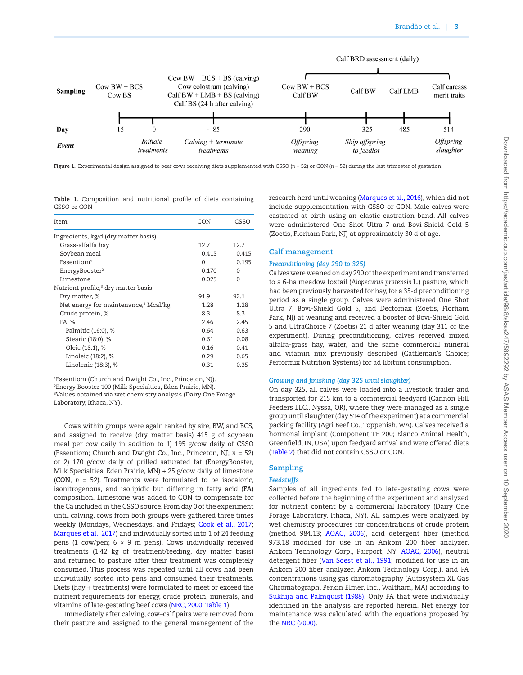

<span id="page-2-0"></span>**Figure 1.** Experimental design assigned to beef cows receiving diets supplemented with CSSO (*n* = 52) or CON (*n* = 52) during the last trimester of gestation.

<span id="page-2-1"></span>**Table 1.** Composition and nutritional profile of diets containing CSSO or CON

| Item                                             | CON      | CSSO     |
|--------------------------------------------------|----------|----------|
| Ingredients, kg/d (dry matter basis)             |          |          |
| Grass-alfalfa hay                                | 12.7     | 12.7     |
| Soybean meal                                     | 0.415    | 0.415    |
| Essention <sup>1</sup>                           | $\Omega$ | 0.195    |
| EnergyBooster <sup>2</sup>                       | 0.170    | $\Omega$ |
| Limestone                                        | 0.025    | $\Omega$ |
| Nutrient profile, <sup>3</sup> dry matter basis  |          |          |
| Dry matter, %                                    | 91.9     | 92.1     |
| Net energy for maintenance, <sup>3</sup> Mcal/kg | 1.28     | 1.28     |
| Crude protein, %                                 | 8.3      | 8.3      |
| FA, %                                            | 2.46     | 2.45     |
| Palmitic (16:0), %                               | 0.64     | 0.63     |
| Stearic (18:0), %                                | 0.61     | 0.08     |
| Oleic (18:1), %                                  | 0.16     | 0.41     |
| Linoleic (18:2), %                               | 0.29     | 0.65     |
| Linolenic (18:3), %                              | 0.31     | 0.35     |

1 Essentiom (Church and Dwight Co., Inc., Princeton, NJ).

2 Energy Booster 100 (Milk Specialties, Eden Prairie, MN).

3 Values obtained via wet chemistry analysis (Dairy One Forage Laboratory, Ithaca, NY).

Cows within groups were again ranked by sire, BW, and BCS, and assigned to receive (dry matter basis) 415 g of soybean meal per cow daily in addition to 1) 195 g/cow daily of CSSO (Essentiom; Church and Dwight Co., Inc., Princeton, NJ; *n* = 52) or 2) 170 g/cow daily of prilled saturated fat (EnergyBooster, Milk Specialties, Eden Prairie, MN) + 25 g/cow daily of limestone (**CON**, *n* = 52). Treatments were formulated to be isocaloric, isonitrogenous, and isolipidic but differing in fatty acid (**FA**) composition. Limestone was added to CON to compensate for the Ca included in the CSSO source. From day 0 of the experiment until calving, cows from both groups were gathered three times weekly (Mondays, Wednesdays, and Fridays; [Cook et al., 2017](#page-9-8); [Marques et al., 2017\)](#page-10-2) and individually sorted into 1 of 24 feeding pens (1 cow/pen;  $6 \times 9$  m pens). Cows individually received treatments (1.42 kg of treatment/feeding, dry matter basis) and returned to pasture after their treatment was completely consumed. This process was repeated until all cows had been individually sorted into pens and consumed their treatments. Diets (hay + treatments) were formulated to meet or exceed the nutrient requirements for energy, crude protein, minerals, and vitamins of late-gestating beef cows [\(NRC, 2000;](#page-10-6) [Table 1](#page-2-1)).

Immediately after calving, cow–calf pairs were removed from their pasture and assigned to the general management of the

research herd until weaning ([Marques et al., 2016\)](#page-10-1), which did not include supplementation with CSSO or CON. Male calves were castrated at birth using an elastic castration band. All calves were administered One Shot Ultra 7 and Bovi-Shield Gold 5 (Zoetis, Florham Park, NJ) at approximately 30 d of age.

## **Calf management**

#### *Preconditioning (day 290 to 325)*

Calves were weaned on day 290 of the experiment and transferred to a 6-ha meadow foxtail (*Alopecurus pratensis* L.) pasture, which had been previously harvested for hay, for a 35-d preconditioning period as a single group. Calves were administered One Shot Ultra 7, Bovi-Shield Gold 5, and Dectomax (Zoetis, Florham Park, NJ) at weaning and received a booster of Bovi-Shield Gold 5 and UltraChoice 7 (Zoetis) 21 d after weaning (day 311 of the experiment). During preconditioning, calves received mixed alfalfa-grass hay, water, and the same commercial mineral and vitamin mix previously described (Cattleman's Choice; Performix Nutrition Systems) for ad libitum consumption.

#### *Growing and finishing (day 325 until slaughter)*

On day 325, all calves were loaded into a livestock trailer and transported for 215 km to a commercial feedyard (Cannon Hill Feeders LLC., Nyssa, OR), where they were managed as a single group until slaughter (day 514 of the experiment) at a commercial packing facility (Agri Beef Co., Toppenish, WA). Calves received a hormonal implant (Component TE 200; Elanco Animal Health, Greenfield, IN, USA) upon feedyard arrival and were offered diets [\(Table 2](#page-3-0)) that did not contain CSSO or CON.

## **Sampling**

#### *Feedstuffs*

Samples of all ingredients fed to late-gestating cows were collected before the beginning of the experiment and analyzed for nutrient content by a commercial laboratory (Dairy One Forage Laboratory, Ithaca, NY). All samples were analyzed by wet chemistry procedures for concentrations of crude protein (method 984.13; [AOAC, 2006](#page-8-0)), acid detergent fiber (method 973.18 modified for use in an Ankom 200 fiber analyzer, Ankom Technology Corp., Fairport, NY; [AOAC, 2006\)](#page-8-0), neutral detergent fiber ([Van Soest et al., 1991](#page-11-2); modified for use in an Ankom 200 fiber analyzer, Ankom Technology Corp.), and FA concentrations using gas chromatography (Autosystem XL Gas Chromatograph, Perkin Elmer, Inc., Waltham, MA) according to [Sukhija and Palmquist \(1988\)](#page-11-3). Only FA that were individually identified in the analysis are reported herein. Net energy for maintenance was calculated with the equations proposed by the [NRC \(2000\).](#page-10-6)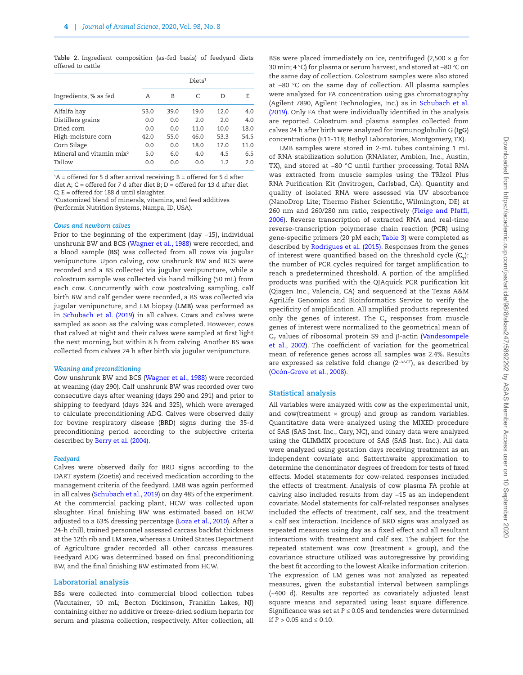<span id="page-3-0"></span>**Table 2.** Ingredient composition (as-fed basis) of feedyard diets offered to cattle

|                            |      | Diets <sup>1</sup> |             |      |      |
|----------------------------|------|--------------------|-------------|------|------|
| Ingredients, % as fed      | A    | В                  | C           | D    | E    |
| Alfalfa hay                | 53.0 | 39.0               | 19.0        | 12.0 | 4.0  |
| Distillers grains          | 0.0  | 0.0                | 2.0         | 2.0  | 4.0  |
| Dried corn                 | 0.0  | 0.0                | 11 $\Omega$ | 10.0 | 18.0 |
| High-moisture corn         | 42.0 | 55.0               | 46.0        | 53.3 | 54.5 |
| Corn Silage                | 0.0  | 0.0                | 18.0        | 17.0 | 11.0 |
| Mineral and vitamin $mix2$ | 5.0  | 6.0                | 4.0         | 4.5  | 6.5  |
| Tallow                     | 0.0  | 0.0                | 0.0         | 12   | 20   |

 $A^1A$  = offered for 5 d after arrival receiving; B = offered for 5 d after diet A;  $C =$  offered for 7 d after diet B;  $D =$  offered for 13 d after diet C; E = offered for 188 d until slaughter.

2 Customized blend of minerals, vitamins, and feed additives (Performix Nutrition Systems, Nampa, ID, USA).

#### *Cows and newborn calves*

Prior to the beginning of the experiment (day −15), individual unshrunk BW and BCS [\(Wagner et al., 1988\)](#page-11-1) were recorded, and a blood sample (**BS**) was collected from all cows via jugular venipuncture. Upon calving, cow unshrunk BW and BCS were recorded and a BS collected via jugular venipuncture, while a colostrum sample was collected via hand milking (50 mL) from each cow. Concurrently with cow postcalving sampling, calf birth BW and calf gender were recorded, a BS was collected via jugular venipuncture, and LM biopsy (**LMB**) was performed as in [Schubach et al. \(2019\)](#page-10-4) in all calves. Cows and calves were sampled as soon as the calving was completed. However, cows that calved at night and their calves were sampled at first light the next morning, but within 8 h from calving. Another BS was collected from calves 24 h after birth via jugular venipuncture.

#### *Weaning and preconditioning*

Cow unshrunk BW and BCS [\(Wagner et al., 1988](#page-11-1)) were recorded at weaning (day 290). Calf unshrunk BW was recorded over two consecutive days after weaning (days 290 and 291) and prior to shipping to feedyard (days 324 and 325), which were averaged to calculate preconditioning ADG. Calves were observed daily for bovine respiratory disease (**BRD**) signs during the 35-d preconditioning period according to the subjective criteria described by [Berry et al. \(2004\).](#page-9-9)

#### *Feedyard*

Calves were observed daily for BRD signs according to the DART system (Zoetis) and received medication according to the management criteria of the feedyard. LMB was again performed in all calves ([Schubach et al., 2019](#page-10-4)) on day 485 of the experiment. At the commercial packing plant, HCW was collected upon slaughter. Final finishing BW was estimated based on HCW adjusted to a 63% dressing percentage [\(Loza et al., 2010\)](#page-10-7). After a 24-h chill, trained personnel assessed carcass backfat thickness at the 12th rib and LM area, whereas a United States Department of Agriculture grader recorded all other carcass measures. Feedyard ADG was determined based on final preconditioning BW, and the final finishing BW estimated from HCW.

#### **Laboratorial analysis**

BSs were collected into commercial blood collection tubes (Vacutainer, 10 mL; Becton Dickinson, Franklin Lakes, NJ) containing either no additive or freeze-dried sodium heparin for serum and plasma collection, respectively. After collection, all BSs were placed immediately on ice, centrifuged (2,500 × *g* for 30 min; 4 °C) for plasma or serum harvest, and stored at −80 °C on the same day of collection. Colostrum samples were also stored at −80 °C on the same day of collection. All plasma samples were analyzed for FA concentration using gas chromatography (Agilent 7890, Agilent Technologies, Inc.) as in [Schubach et al.](#page-10-4) [\(2019\).](#page-10-4) Only FA that were individually identified in the analysis are reported. Colostrum and plasma samples collected from calves 24 h after birth were analyzed for immunoglobulin G (**IgG**) concentrations (E11-118; Bethyl Laboratories, Montgomery, TX).

LMB samples were stored in 2-mL tubes containing 1 mL of RNA stabilization solution (RNAlater, Ambion, Inc., Austin, TX), and stored at −80 °C until further processing. Total RNA was extracted from muscle samples using the TRIzol Plus RNA Purification Kit (Invitrogen, Carlsbad, CA). Quantity and quality of isolated RNA were assessed via UV absorbance (NanoDrop Lite; Thermo Fisher Scientific, Wilmington, DE) at 260 nm and 260/280 nm ratio, respectively [\(Fleige and Pfaffl,](#page-9-10) [2006](#page-9-10)). Reverse transcription of extracted RNA and real-time reverse-transcription polymerase chain reaction (**PCR**) using gene-specific primers (20 pM each; [Table 3\)](#page-4-0) were completed as described by [Rodrigues et al. \(2015\).](#page-10-8) Responses from the genes of interest were quantified based on the threshold cycle  $(C<sub>\tau</sub>)$ : the number of PCR cycles required for target amplification to reach a predetermined threshold. A portion of the amplified products was purified with the QIAquick PCR purification kit (Qiagen Inc., Valencia, CA) and sequenced at the Texas A&M AgriLife Genomics and Bioinformatics Service to verify the specificity of amplification. All amplified products represented only the genes of interest. The  $C<sub>r</sub>$  responses from muscle genes of interest were normalized to the geometrical mean of  $C<sub>r</sub>$  values of ribosomal protein S9 and β-actin [\(Vandesompele](#page-11-4) [et al., 2002\)](#page-11-4). The coefficient of variation for the geometrical mean of reference genes across all samples was 2.4%. Results are expressed as relative fold change (2<sup>−∆△CT</sup>), as described by ([Ocón-Grove et al., 2008](#page-10-9)).

#### **Statistical analysis**

All variables were analyzed with cow as the experimental unit, and cow(treatment  $\times$  group) and group as random variables. Quantitative data were analyzed using the MIXED procedure of SAS (SAS Inst. Inc., Cary, NC), and binary data were analyzed using the GLIMMIX procedure of SAS (SAS Inst. Inc.). All data were analyzed using gestation days receiving treatment as an independent covariate and Satterthwaite approximation to determine the denominator degrees of freedom for tests of fixed effects. Model statements for cow-related responses included the effects of treatment. Analysis of cow plasma FA profile at calving also included results from day −15 as an independent covariate. Model statements for calf-related responses analyses included the effects of treatment, calf sex, and the treatment × calf sex interaction. Incidence of BRD signs was analyzed as repeated measures using day as a fixed effect and all resultant interactions with treatment and calf sex. The subject for the repeated statement was cow (treatment × group), and the covariance structure utilized was autoregressive by providing the best fit according to the lowest Akaike information criterion. The expression of LM genes was not analyzed as repeated measures, given the substantial interval between samplings (~400 d). Results are reported as covariately adjusted least square means and separated using least square difference. Significance was set at *P* ≤ 0.05 and tendencies were determined if  $P > 0.05$  and  $\leq 0.10$ .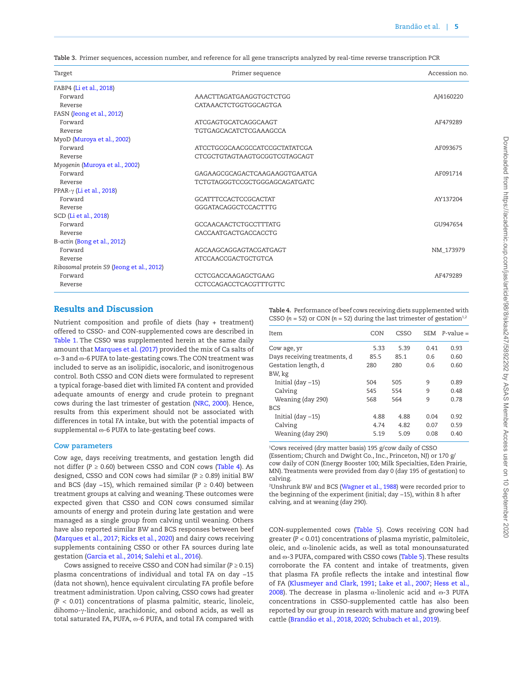<span id="page-4-0"></span>

|  |  |  |  |  |  |  |  | Table 3. Primer sequences, accession number, and reference for all gene transcripts analyzed by real-time reverse transcription PCR |
|--|--|--|--|--|--|--|--|-------------------------------------------------------------------------------------------------------------------------------------|
|--|--|--|--|--|--|--|--|-------------------------------------------------------------------------------------------------------------------------------------|

| Target                                    | Primer sequence               | Accession no. |
|-------------------------------------------|-------------------------------|---------------|
| FABP4 (Li et al., 2018)                   |                               |               |
| Forward                                   | AAACTTAGATGAAGGTGCTCTGG       | AJ4160220     |
| Reverse                                   | CATAAACTCTGGTGGCAGTGA         |               |
| FASN (Jeong et al., 2012)                 |                               |               |
| Forward                                   | ATCGAGTGCATCAGGCAAGT          | AF479289      |
| Reverse                                   | <b>TGTGAGCACATCTCGAAAGCCA</b> |               |
| MyoD (Muroya et al., 2002)                |                               |               |
| Forward                                   | ATCCTGCGCAACGCCATCCGCTATATCGA | AF093675      |
| Reverse                                   | CTCGCTGTAGTAAGTGCGGTCGTAGCAGT |               |
| Myogenin (Muroya et al., 2002)            |                               |               |
| Forward                                   | GAGAAGCGCAGACTCAAGAAGGTGAATGA | AF091714      |
| Reverse                                   | TCTGTAGGGTCCGCTGGGAGCAGATGATC |               |
| PPAR- $\gamma$ (Li et al., 2018)          |                               |               |
| Forward                                   | GCATTTCCACTCCGCACTAT          | AY137204      |
| Reverse                                   | GGGATACAGGCTCCACTTTG          |               |
| SCD (Li et al., 2018)                     |                               |               |
| Forward                                   | <b>GCCAACAACTCTGCCTTTATG</b>  | GU947654      |
| Reverse                                   | CACCAATGACTGACCACCTG          |               |
| B-actin (Bong et al., 2012)               |                               |               |
| Forward                                   | AGCAAGCAGGAGTACGATGAGT        | NM 173979     |
| Reverse                                   | ATCCAACCGACTGCTGTCA           |               |
| Ribosomal protein S9 (Jeong et al., 2012) |                               |               |
| Forward                                   | CCTCGACCAAGAGCTGAAG           | AF479289      |
| Reverse                                   | CCTCCAGACCTCACGTTTGTTC        |               |

## Results and Discussion

Nutrient composition and profile of diets (hay + treatment) offered to CSSO- and CON-supplemented cows are described in [Table 1](#page-2-1). The CSSO was supplemented herein at the same daily amount that [Marques et al. \(2017\)](#page-10-2) provided the mix of Ca salts of ɷ-3 and ɷ-6 PUFA to late-gestating cows. The CON treatment was included to serve as an isolipidic, isocaloric, and isonitrogenous control. Both CSSO and CON diets were formulated to represent a typical forage-based diet with limited FA content and provided adequate amounts of energy and crude protein to pregnant cows during the last trimester of gestation [\(NRC, 2000\)](#page-10-6). Hence, results from this experiment should not be associated with differences in total FA intake, but with the potential impacts of supplemental  $\omega$ -6 PUFA to late-gestating beef cows.

## **Cow parameters**

Cow age, days receiving treatments, and gestation length did not differ  $(P \ge 0.60)$  between CSSO and CON cows ([Table 4](#page-4-1)). As designed, CSSO and CON cows had similar (*P* ≥ 0.89) initial BW and BCS (day −15), which remained similar (*P* ≥ 0.40) between treatment groups at calving and weaning. These outcomes were expected given that CSSO and CON cows consumed similar amounts of energy and protein during late gestation and were managed as a single group from calving until weaning. Others have also reported similar BW and BCS responses between beef [\(Marques et al., 2017;](#page-10-2) [Ricks et al., 2020\)](#page-10-5) and dairy cows receiving supplements containing CSSO or other FA sources during late gestation ([Garcia et al., 2014;](#page-9-0) [Salehi et al., 2016](#page-10-10)).

Cows assigned to receive CSSO and CON had similar (*P* ≥ 0.15) plasma concentrations of individual and total FA on day −15 (data not shown), hence equivalent circulating FA profile before treatment administration. Upon calving, CSSO cows had greater (*P <* 0.01) concentrations of plasma palmitic, stearic, linoleic, dihomo-γ-linolenic, arachidonic, and osbond acids, as well as total saturated FA, PUFA, @-6 PUFA, and total FA compared with

<span id="page-4-1"></span>**Table 4.** Performance of beef cows receiving diets supplemented with CSSO  $(n = 52)$  or CON  $(n = 52)$  during the last trimester of gestation<sup>1,2</sup>

| Item                         | CON  | CSSO | SEM  | $P-value =$ |
|------------------------------|------|------|------|-------------|
| Cow age, yr                  | 5.33 | 5.39 | 0.41 | 0.93        |
| Days receiving treatments, d | 85.5 | 85.1 | 0.6  | 0.60        |
| Gestation length, d          | 280  | 280  | 0.6  | 0.60        |
| BW, kg                       |      |      |      |             |
| Initial $\frac{day - 15}{ }$ | 504  | 505  | 9    | 0.89        |
| Calving                      | 545  | 554  | 9    | 0.48        |
| Weaning (day 290)            | 568  | 564  | 9    | 0.78        |
| <b>BCS</b>                   |      |      |      |             |
| Initial $\frac{day - 15}{ }$ | 4.88 | 4.88 | 0.04 | 0.92        |
| Calving                      | 4.74 | 4.82 | 0.07 | 0.59        |
| Weaning (day 290)            | 5.19 | 5.09 | 0.08 | 0.40        |

1 Cows received (dry matter basis) 195 g/cow daily of CSSO (Essentiom; Church and Dwight Co., Inc., Princeton, NJ) or 170 g/ cow daily of CON (Energy Booster 100; Milk Specialties, Eden Prairie, MN). Treatments were provided from day 0 (day 195 of gestation) to calving.

2 Unshrunk BW and BCS [\(Wagner et al., 1988\)](#page-11-1) were recorded prior to the beginning of the experiment (initial; day −15), within 8 h after calving, and at weaning (day 290).

CON-supplemented cows [\(Table 5\)](#page-5-0). Cows receiving CON had greater (*P <* 0.01) concentrations of plasma myristic, palmitoleic, oleic, and  $α$ -linolenic acids, as well as total monounsaturated and  $\omega$ -3 PUFA, compared with CSSO cows ([Table 5\)](#page-5-0). These results corroborate the FA content and intake of treatments, given that plasma FA profile reflects the intake and intestinal flow of FA [\(Klusmeyer and Clark, 1991;](#page-10-11) [Lake et al., 2007;](#page-10-12) [Hess et al.,](#page-9-11) [2008\)](#page-9-11). The decrease in plasma  $α$ -linolenic acid and  $ω$ -3 PUFA concentrations in CSSO-supplemented cattle has also been reported by our group in research with mature and growing beef cattle [\(Brandão et al., 2018,](#page-9-12) [2020;](#page-9-13) [Schubach et al., 2019](#page-10-4)).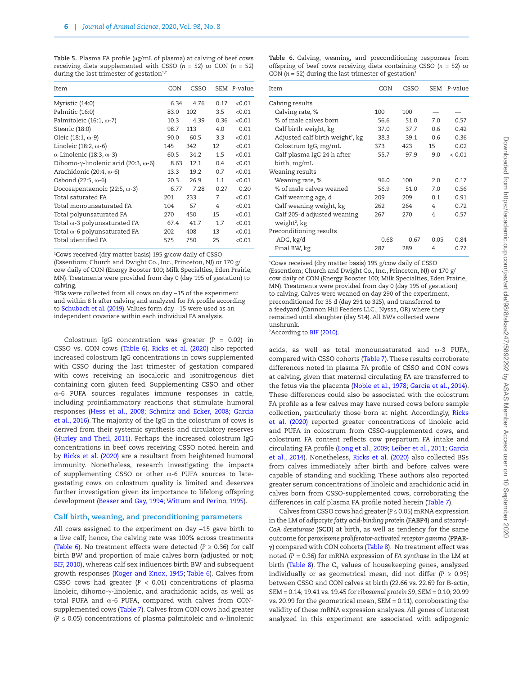<span id="page-5-0"></span>**Table 5.** Plasma FA profile (µg/mL of plasma) at calving of beef cows receiving diets supplemented with CSSO  $(n = 52)$  or CON  $(n = 52)$ during the last trimester of gestation $1,2$ 

| Item                                                 | CON  | CSSO |      | SEM P-value |
|------------------------------------------------------|------|------|------|-------------|
| Myristic (14:0)                                      | 6.34 | 4.76 | 0.17 | < 0.01      |
| Palmitic (16:0)                                      | 83.0 | 102  | 3.5  | < 0.01      |
| Palmitoleic $(16:1, \omega$ -7)                      | 10.3 | 4.39 | 0.36 | < 0.01      |
| Stearic (18:0)                                       | 98.7 | 113  | 4.0  | 0.01        |
| Oleic $(18:1, \omega - 9)$                           | 90.0 | 60.5 | 3.3  | < 0.01      |
| Linoleic (18:2, $\omega$ -6)                         | 145  | 342  | 12   | < 0.01      |
| $\alpha$ -Linolenic (18:3, $\omega$ -3)              | 60.5 | 34.2 | 1.5  | < 0.01      |
| Dihomo- $\gamma$ -linolenic acid (20:3, $\omega$ -6) | 8.63 | 12.1 | 0.4  | < 0.01      |
| Arachidonic (20:4, $\omega$ -6)                      | 13.3 | 19.2 | 0.7  | < 0.01      |
| Osbond $(22:5, \omega - 6)$                          | 20.3 | 26.9 | 1.1  | < 0.01      |
| Docosapentaenoic $(22:5, \omega-3)$                  | 6.77 | 7.28 | 0.27 | 0.20        |
| Total saturated FA                                   | 201  | 233  | 7    | < 0.01      |
| Total monounsaturated FA                             | 104  | 67   | 4    | < 0.01      |
| Total polyunsaturated FA                             | 270  | 450  | 15   | < 0.01      |
| Total $\omega$ -3 polyunsaturated FA                 | 67.4 | 41.7 | 1.7  | < 0.01      |
| Total $\omega$ -6 polyunsaturated FA                 | 202  | 408  | 13   | < 0.01      |
| Total identified FA                                  | 575  | 750  | 25   | < 0.01      |
|                                                      |      |      |      |             |

1 Cows received (dry matter basis) 195 g/cow daily of CSSO (Essentiom; Church and Dwight Co., Inc., Princeton, NJ) or 170 g/ cow daily of CON (Energy Booster 100; Milk Specialties, Eden Prairie, MN). Treatments were provided from day 0 (day 195 of gestation) to calving.

2 BSs were collected from all cows on day −15 of the experiment and within 8 h after calving and analyzed for FA profile according to [Schubach et al. \(2019\)](#page-10-4). Values form day −15 were used as an independent covariate within each individual FA analysis.

Colostrum IgG concentration was greater (*P* = 0.02) in CSSO vs. CON cows ([Table 6\)](#page-5-1). [Ricks et al. \(2020\)](#page-10-5) also reported increased colostrum IgG concentrations in cows supplemented with CSSO during the last trimester of gestation compared with cows receiving an isocaloric and isonitrogenous diet containing corn gluten feed. Supplementing CSSO and other ɷ-6 PUFA sources regulates immune responses in cattle, including proinflammatory reactions that stimulate humoral responses [\(Hess et al., 2008](#page-9-11); [Schmitz and Ecker, 2008](#page-10-15); [Garcia](#page-9-16) [et al., 2016](#page-9-16)). The majority of the IgG in the colostrum of cows is derived from their systemic synthesis and circulatory reserves [\(Hurley and Theil, 2011\)](#page-9-17). Perhaps the increased colostrum IgG concentrations in beef cows receiving CSSO noted herein and by [Ricks et al. \(2020\)](#page-10-5) are a resultant from heightened humoral immunity. Nonetheless, research investigating the impacts of supplementing CSSO or other  $\omega$ -6 PUFA sources to lategestating cows on colostrum quality is limited and deserves further investigation given its importance to lifelong offspring development ([Besser and Gay, 1994](#page-9-18); [Wittum and Perino, 1995](#page-11-5)).

#### **Calf birth, weaning, and preconditioning parameters**

All cows assigned to the experiment on day −15 gave birth to a live calf; hence, the calving rate was 100% across treatments [\(Table 6\)](#page-5-1). No treatment effects were detected ( $P \ge 0.36$ ) for calf birth BW and proportion of male calves born (adjusted or not; [BIF, 2010](#page-9-19)), whereas calf sex influences birth BW and subsequent growth responses ([Koger and Knox, 1945;](#page-10-16) [Table 6\)](#page-5-1). Calves from CSSO cows had greater  $(P < 0.01)$  concentrations of plasma linoleic, dihomo-γ-linolenic, and arachidonic acids, as well as total PUFA and  $\infty$ -6 PUFA, compared with calves from CON-supplemented cows [\(Table 7\)](#page-6-0). Calves from CON cows had greater (*P* ≤ 0.05) concentrations of plasma palmitoleic and α-linolenic

<span id="page-5-1"></span>**Table 6.** Calving, weaning, and preconditioning responses from offspring of beef cows receiving diets containing CSSO (*n* = 52) or CON ( $n = 52$ ) during the last trimester of gestation<sup>1</sup>

| Item                                         | CON  | CSSO | SEM  | P-value |
|----------------------------------------------|------|------|------|---------|
| Calving results                              |      |      |      |         |
| Calving rate, %                              | 100  | 100  |      |         |
| % of male calves born                        | 56.6 | 51.0 | 7.0  | 0.57    |
| Calf birth weight, kg                        | 37.0 | 37.7 | 0.6  | 0.42    |
| Adjusted calf birth weight <sup>2</sup> , kg | 38.3 | 39.1 | 0.6  | 0.36    |
| Colostrum IgG, mg/mL                         | 373  | 423  | 15   | 0.02    |
| Calf plasma IgG 24 h after                   | 55.7 | 97.9 | 9.0  | < 0.01  |
| birth, mg/mL                                 |      |      |      |         |
| Weaning results                              |      |      |      |         |
| Weaning rate, %                              | 96.0 | 100  | 2.0  | 0.17    |
| % of male calves weaned                      | 56.9 | 51.0 | 7.0  | 0.56    |
| Calf weaning age, d                          | 209  | 209  | 0.1  | 0.91    |
| Calf weaning weight, kg                      | 262  | 264  | 4    | 0.72    |
| Calf 205-d adjusted weaning                  | 267  | 270  | 4    | 0.57    |
| weight <sup>2</sup> , kg                     |      |      |      |         |
| Preconditioning results                      |      |      |      |         |
| ADG, kg/d                                    | 0.68 | 0.67 | 0.05 | 0.84    |
| Final BW, kg                                 | 287  | 289  | 4    | 0.77    |

1 Cows received (dry matter basis) 195 g/cow daily of CSSO (Essentiom; Church and Dwight Co., Inc., Princeton, NJ) or 170 g/ cow daily of CON (Energy Booster 100; Milk Specialties, Eden Prairie, MN). Treatments were provided from day 0 (day 195 of gestation) to calving. Calves were weaned on day 290 of the experiment, preconditioned for 35 d (day 291 to 325), and transferred to a feedyard (Cannon Hill Feeders LLC., Nyssa, OR) where they remained until slaughter (day 514). All BWs collected were unshrunk.

<sup>2</sup>According to [BIF \(2010\)](#page-9-19).

acids, as well as total monounsaturated and  $\omega$ -3 PUFA, compared with CSSO cohorts ([Table 7\)](#page-6-0). These results corroborate differences noted in plasma FA profile of CSSO and CON cows at calving, given that maternal circulating FA are transferred to the fetus via the placenta ([Noble et al., 1978](#page-10-17); [Garcia et al., 2014\)](#page-9-0). These differences could also be associated with the colostrum FA profile as a few calves may have nursed cows before sample collection, particularly those born at night. Accordingly, [Ricks](#page-10-5) [et al. \(2020\)](#page-10-5) reported greater concentrations of linoleic acid and PUFA in colostrum from CSSO-supplemented cows, and colostrum FA content reflects cow prepartum FA intake and circulating FA profile ([Long et al., 2009](#page-10-18); [Leiber et al., 2011;](#page-10-19) [Garcia](#page-9-0) [et al., 2014\)](#page-9-0). Nonetheless, [Ricks et al. \(2020\)](#page-10-5) also collected BSs from calves immediately after birth and before calves were capable of standing and suckling. These authors also reported greater serum concentrations of linoleic and arachidonic acid in calves born from CSSO-supplemented cows, corroborating the differences in calf plasma FA profile noted herein [\(Table 7](#page-6-0)).

Calves from CSSO cows had greater (*P* ≤ 0.05) mRNA expression in the LM of *adipocyte fatty acid-binding protein* (**FABP4**) and s*tearoyl-CoA desaturase* (**SCD**) at birth, as well as tendency for the same outcome for *peroxisome proliferator-activated receptor gamma* (**PPARγ**) compared with CON cohorts ([Table 8\)](#page-6-1). No treatment effect was noted (*P* = 0.36) for mRNA expression of *FA synthase* in the LM at birth (Table 8). The  $C_T$  values of housekeeping genes, analyzed individually or as geometrical mean, did not differ  $(P \ge 0.95)$ between CSSO and CON calves at birth (22.66 vs. 22.69 for Β*-actin*, SEM = 0.14; 19.41 vs. 19.45 for r*ibosomal protein S9*, SEM = 0.10; 20.99 vs. 20.99 for the geometrical mean, SEM = 0.11), corroborating the validity of these mRNA expression analyses. All genes of interest analyzed in this experiment are associated with adipogenic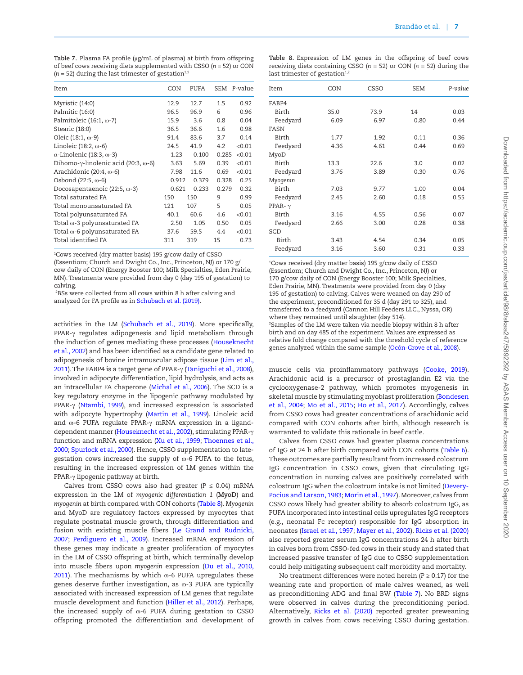<span id="page-6-0"></span>**Table 7.** Plasma FA profile (µg/mL of plasma) at birth from offspring of beef cows receiving diets supplemented with CSSO (*n* = 52) or CON  $(n = 52)$  during the last trimester of gestation<sup>1,2</sup>

| Item                                                 | CON   | PUFA  |       | SEM P-value |
|------------------------------------------------------|-------|-------|-------|-------------|
| Myristic (14:0)                                      | 12.9  | 12.7  | 1.5   | 0.92        |
| Palmitic (16:0)                                      | 96.5  | 96.9  | 6     | 0.96        |
| Palmitoleic (16:1, $\omega$ -7)                      | 15.9  | 3.6   | 0.8   | 0.04        |
| Stearic (18:0)                                       | 36.5  | 36.6  | 1.6   | 0.98        |
| Oleic $(18:1, \omega - 9)$                           | 91.4  | 83.6  | 3.7   | 0.14        |
| Linoleic (18:2, $\omega$ -6)                         | 24.5  | 41.9  | 4.2   | < 0.01      |
| $\alpha$ -Linolenic (18:3, $\omega$ -3)              | 1.23  | 0.100 | 0.285 | < 0.01      |
| Dihomo- $\gamma$ -linolenic acid (20:3, $\omega$ -6) | 3.63  | 5.69  | 0.39  | < 0.01      |
| Arachidonic $(20:4, \omega$ -6)                      | 7.98  | 11.6  | 0.69  | < 0.01      |
| Osbond $(22:5, \omega - 6)$                          | 0.912 | 0.379 | 0.328 | 0.25        |
| Docosapentaenoic $(22:5, \omega-3)$                  | 0.621 | 0.233 | 0.279 | 0.32        |
| Total saturated FA                                   | 150   | 150   | 9     | 0.99        |
| Total monounsaturated FA                             | 121   | 107   | 5     | 0.05        |
| Total polyunsaturated FA                             | 40.1  | 60.6  | 4.6   | < 0.01      |
| Total $\omega$ -3 polyunsaturated FA                 | 2.50  | 1.05  | 0.50  | 0.05        |
| Total $\omega$ -6 polyunsaturated FA                 | 37.6  | 59.5  | 44    | < 0.01      |
| Total identified FA                                  | 311   | 319   | 15    | 0.73        |

1 Cows received (dry matter basis) 195 g/cow daily of CSSO

(Essentiom; Church and Dwight Co., Inc., Princeton, NJ) or 170 g/ cow daily of CON (Energy Booster 100; Milk Specialties, Eden Prairie, MN). Treatments were provided from day 0 (day 195 of gestation) to calving.

 $^{2}$ BSs were collected from all cows within 8 h after calving and analyzed for FA profile as in [Schubach et al. \(2019\).](#page-10-4)

activities in the LM [\(Schubach et al., 2019](#page-10-4)). More specifically, PPAR-γ regulates adipogenesis and lipid metabolism through the induction of genes mediating these processes ([Houseknecht](#page-9-20) [et al., 2002](#page-9-20)) and has been identified as a candidate gene related to adipogenesis of bovine intramuscular adipose tissue ([Lim et al.,](#page-10-20) [2011\)](#page-10-20). The FABP4 is a target gene of PPAR-γ [\(Taniguchi et al., 2008](#page-11-6)), involved in adipocyte differentiation, lipid hydrolysis, and acts as an intracellular FA chaperone [\(Michal et al., 2006](#page-10-21)). The SCD is a key regulatory enzyme in the lipogenic pathway modulated by PPAR-γ [\(Ntambi, 1999\)](#page-10-22), and increased expression is associated with adipocyte hypertrophy [\(Martin et al., 1999](#page-10-23)). Linoleic acid and ω-6 PUFA regulate PPAR-γ mRNA expression in a liganddependent manner ([Houseknecht et al., 2002](#page-9-20)), stimulating PPAR-γ function and mRNA expression [\(Xu et al., 1999;](#page-11-7) [Thoennes et al.,](#page-11-8) [2000;](#page-11-8) [Spurlock et al., 2000](#page-11-9)). Hence, CSSO supplementation to lategestation cows increased the supply of  $\infty$ -6 PUFA to the fetus, resulting in the increased expression of LM genes within the PPAR-γ lipogenic pathway at birth.

Calves from CSSO cows also had greater ( $P \le 0.04$ ) mRNA expression in the LM of *myogenic differentiation 1* (**MyoD**) and *myogenin* at birth compared with CON cohorts [\(Table 8\)](#page-6-1). *Myogenin* and MyoD are regulatory factors expressed by myocytes that regulate postnatal muscle growth, through differentiation and fusion with existing muscle fibers [\(Le Grand and Rudnicki,](#page-10-24) [2007;](#page-10-24) [Perdiguero et al., 2009\)](#page-10-25). Increased mRNA expression of these genes may indicate a greater proliferation of myocytes in the LM of CSSO offspring at birth, which terminally develop into muscle fibers upon *myogenin* expression ([Du et al., 2010](#page-9-4)[,](#page-9-21) [2011\)](#page-9-21). The mechanisms by which  $\infty$ -6 PUFA upregulates these genes deserve further investigation, as  $\infty$ -3 PUFA are typically associated with increased expression of LM genes that regulate muscle development and function [\(Hiller et al., 2012](#page-9-22)). Perhaps, the increased supply of  $\omega$ -6 PUFA during gestation to CSSO offspring promoted the differentiation and development of

<span id="page-6-1"></span>

|  | Table 8. Expression of LM genes in the offspring of beef cows               |  |  |  |  |  |
|--|-----------------------------------------------------------------------------|--|--|--|--|--|
|  | receiving diets containing CSSO ( $n = 52$ ) or CON ( $n = 52$ ) during the |  |  |  |  |  |
|  | last trimester of gestation $1,2$                                           |  |  |  |  |  |

| Item           | CON  | CSSO | <b>SEM</b> | P-value |
|----------------|------|------|------------|---------|
| FABP4          |      |      |            |         |
| Birth          | 35.0 | 73.9 | 14         | 0.03    |
| Feedyard       | 6.09 | 6.97 | 0.80       | 0.44    |
| FASN           |      |      |            |         |
| Birth          | 1.77 | 1.92 | 0.11       | 0.36    |
| Feedyard       | 4.36 | 4.61 | 0.44       | 0.69    |
| MyoD           |      |      |            |         |
| Birth          | 13.3 | 22.6 | 3.0        | 0.02    |
| Feedyard       | 3.76 | 3.89 | 0.30       | 0.76    |
| Myogenin       |      |      |            |         |
| Birth          | 7.03 | 9.77 | 1.00       | 0.04    |
| Feedyard       | 2.45 | 2.60 | 0.18       | 0.55    |
| PPAR- $\gamma$ |      |      |            |         |
| Birth          | 3.16 | 4.55 | 0.56       | 0.07    |
| Feedyard       | 2.66 | 3.00 | 0.28       | 0.38    |
| SCD            |      |      |            |         |
| Birth          | 3.43 | 4.54 | 0.34       | 0.05    |
| Feedyard       | 3.16 | 3.60 | 0.31       | 0.33    |

1 Cows received (dry matter basis) 195 g/cow daily of CSSO (Essentiom; Church and Dwight Co., Inc., Princeton, NJ) or 170 g/cow daily of CON (Energy Booster 100; Milk Specialties, Eden Prairie, MN). Treatments were provided from day 0 (day 195 of gestation) to calving. Calves were weaned on day 290 of the experiment, preconditioned for 35 d (day 291 to 325), and transferred to a feedyard (Cannon Hill Feeders LLC., Nyssa, OR) where they remained until slaughter (day 514). 2 Samples of the LM were taken via needle biopsy within 8 h after birth and on day 485 of the experiment. Values are expressed as relative fold change compared with the threshold cycle of reference genes analyzed within the same sample [\(Ocón-Grove et al., 2008](#page-10-9)).

muscle cells via proinflammatory pathways [\(Cooke, 2019\)](#page-9-23). Arachidonic acid is a precursor of prostaglandin E2 via the cyclooxygenase-2 pathway, which promotes myogenesis in skeletal muscle by stimulating myoblast proliferation [\(Bondesen](#page-9-24) [et al., 2004](#page-9-24); [Mo et al., 2015](#page-10-26); [Ho et al., 2017](#page-9-25)). Accordingly, calves from CSSO cows had greater concentrations of arachidonic acid compared with CON cohorts after birth, although research is warranted to validate this rationale in beef cattle.

Calves from CSSO cows had greater plasma concentrations of IgG at 24 h after birth compared with CON cohorts ([Table 6\)](#page-5-1). These outcomes are partially resultant from increased colostrum IgG concentration in CSSO cows, given that circulating IgG concentration in nursing calves are positively correlated with colostrum IgG when the colostrum intake is not limited ([Devery-](#page-9-26)[Pocius and Larson, 1983](#page-9-26); [Morin et al., 1997](#page-10-27)). Moreover, calves from CSSO cows likely had greater ability to absorb colostrum IgG, as PUFA incorporated into intestinal cells upregulates IgG receptors (e.g., neonatal Fc receptor) responsible for IgG absorption in neonates [\(Israel et al., 1997;](#page-9-27) [Mayer et al., 2002\)](#page-10-28). [Ricks et al. \(2020\)](#page-10-5) also reported greater serum IgG concentrations 24 h after birth in calves born from CSSO-fed cows in their study and stated that increased passive transfer of IgG due to CSSO supplementation could help mitigating subsequent calf morbidity and mortality.

No treatment differences were noted herein (*P* ≥ 0.17) for the weaning rate and proportion of male calves weaned, as well as preconditioning ADG and final BW ([Table 7](#page-6-0)). No BRD signs were observed in calves during the preconditioning period. Alternatively, [Ricks et al. \(2020\)](#page-10-5) reported greater preweaning growth in calves from cows receiving CSSO during gestation.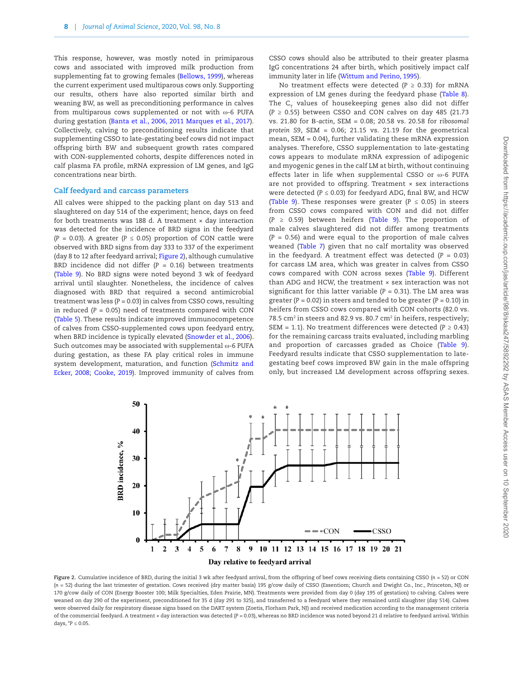This response, however, was mostly noted in primiparous cows and associated with improved milk production from supplementing fat to growing females [\(Bellows, 1999](#page-8-1)), whereas the current experiment used multiparous cows only. Supporting our results, others have also reported similar birth and weaning BW, as well as preconditioning performance in calves from multiparous cows supplemented or not with ω-6 PUFA during gestation ([Banta et al., 2006](#page-8-2)[, 2011](#page-8-3) [Marques et al., 2017\)](#page-10-2). Collectively, calving to preconditioning results indicate that supplementing CSSO to late-gestating beef cows did not impact offspring birth BW and subsequent growth rates compared with CON-supplemented cohorts, despite differences noted in calf plasma FA profile, mRNA expression of LM genes, and IgG concentrations near birth.

#### **Calf feedyard and carcass parameters**

All calves were shipped to the packing plant on day 513 and slaughtered on day 514 of the experiment; hence, days on feed for both treatments was 188 d. A treatment  $\times$  day interaction was detected for the incidence of BRD signs in the feedyard ( $P = 0.03$ ). A greater ( $P \le 0.05$ ) proportion of CON cattle were observed with BRD signs from day 333 to 337 of the experiment (day 8 to 12 after feedyard arrival; [Figure 2\)](#page-7-0), although cumulative BRD incidence did not differ (*P* = 0.16) between treatments ([Table 9\)](#page-8-4). No BRD signs were noted beyond 3 wk of feedyard arrival until slaughter. Nonetheless, the incidence of calves diagnosed with BRD that required a second antimicrobial treatment was less (*P* = 0.03) in calves from CSSO cows, resulting in reduced  $(P = 0.05)$  need of treatments compared with CON ([Table 5\)](#page-5-0). These results indicate improved immunocompetence of calves from CSSO-supplemented cows upon feedyard entry, when BRD incidence is typically elevated [\(Snowder et al., 2006\)](#page-11-10). Such outcomes may be associated with supplemental ω-6 PUFA during gestation, as these FA play critical roles in immune system development, maturation, and function [\(Schmitz and](#page-10-15) [Ecker, 2008;](#page-10-15) [Cooke, 2019](#page-9-23)). Improved immunity of calves from

CSSO cows should also be attributed to their greater plasma IgG concentrations 24 after birth, which positively impact calf immunity later in life [\(Wittum and Perino, 1995\)](#page-11-5).

No treatment effects were detected ( $P \ge 0.33$ ) for mRNA expression of LM genes during the feedyard phase [\(Table 8\)](#page-6-1). The  $C<sub>T</sub>$  values of housekeeping genes also did not differ (*P* ≥ 0.55) between CSSO and CON calves on day 485 (21.73 vs. 21.80 for Β*-actin*, SEM = 0.08; 20.58 vs. 20.58 for r*ibosomal protein S9*, SEM = 0.06; 21.15 vs. 21.19 for the geometrical mean, SEM = 0.04), further validating these mRNA expression analyses. Therefore, CSSO supplementation to late-gestating cows appears to modulate mRNA expression of adipogenic and myogenic genes in the calf LM at birth, without continuing effects later in life when supplemental CSSO or ω-6 PUFA are not provided to offspring. Treatment × sex interactions were detected (*P* ≤ 0.03) for feedyard ADG, final BW, and HCW (Table 9). These responses were greater ( $P \le 0.05$ ) in steers from CSSO cows compared with CON and did not differ (*P* ≥ 0.59) between heifers ([Table 9\)](#page-8-4). The proportion of male calves slaughtered did not differ among treatments (*P* = 0.56) and were equal to the proportion of male calves weaned (Table 7) given that no calf mortality was observed in the feedyard. A treatment effect was detected  $(P = 0.03)$ for carcass LM area, which was greater in calves from CSSO cows compared with CON across sexes [\(Table 9\)](#page-8-4). Different than ADG and HCW, the treatment × sex interaction was not significant for this latter variable  $(P = 0.31)$ . The LM area was greater ( $P = 0.02$ ) in steers and tended to be greater ( $P = 0.10$ ) in heifers from CSSO cows compared with CON cohorts (82.0 vs. 78.5 cm<sup>2</sup> in steers and 82.9 vs. 80.7 cm<sup>2</sup> in heifers, respectively; SEM = 1.1). No treatment differences were detected ( $P \ge 0.43$ ) for the remaining carcass traits evaluated, including marbling and proportion of carcasses graded as Choice ([Table 9\)](#page-8-4). Feedyard results indicate that CSSO supplementation to lategestating beef cows improved BW gain in the male offspring only, but increased LM development across offspring sexes.



<span id="page-7-0"></span>**Figure 2.** Cumulative incidence of BRD, during the initial 3 wk after feedyard arrival, from the offspring of beef cows receiving diets containing CSSO (*n* = 52) or CON (*n* = 52) during the last trimester of gestation. Cows received (dry matter basis) 195 g/cow daily of CSSO (Essentiom; Church and Dwight Co., Inc., Princeton, NJ) or 170 g/cow daily of CON (Energy Booster 100; Milk Specialties, Eden Prairie, MN). Treatments were provided from day 0 (day 195 of gestation) to calving. Calves were weaned on day 290 of the experiment, preconditioned for 35 d (day 291 to 325), and transferred to a feedyard where they remained until slaughter (day 514). Calves were observed daily for respiratory disease signs based on the DART system (Zoetis, Florham Park, NJ) and received medication according to the management criteria of the commercial feedyard. A treatment × day interaction was detected (*P* = 0.03), whereas no BRD incidence was noted beyond 21 d relative to feedyard arrival. Within days,  $*P \le 0.05$ .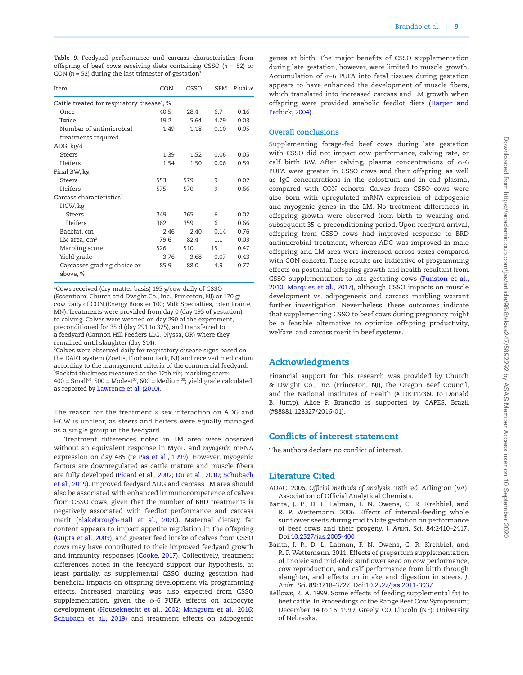<span id="page-8-4"></span>**Table 9.** Feedyard performance and carcass characteristics from offspring of beef cows receiving diets containing CSSO (*n* = 52) or CON ( $n = 52$ ) during the last trimester of gestation<sup>1</sup>

| Item                                                    | CON  | CSSO | <b>SEM</b> | P-value |  |  |  |
|---------------------------------------------------------|------|------|------------|---------|--|--|--|
| Cattle treated for respiratory disease <sup>2</sup> , % |      |      |            |         |  |  |  |
| Once                                                    | 40.5 | 28.4 | 6.7        | 0.16    |  |  |  |
| Twice                                                   | 19.2 | 5.64 | 4.79       | 0.03    |  |  |  |
| Number of antimicrobial                                 | 1.49 | 1.18 | 0.10       | 0.05    |  |  |  |
| treatments required                                     |      |      |            |         |  |  |  |
| ADG, kg/d                                               |      |      |            |         |  |  |  |
| <b>Steers</b>                                           | 1.39 | 1.52 | 0.06       | 0.05    |  |  |  |
| Heifers                                                 | 1.54 | 1.50 | 0.06       | 0.59    |  |  |  |
| Final BW, kg                                            |      |      |            |         |  |  |  |
| <b>Steers</b>                                           | 553  | 579  | 9          | 0.02    |  |  |  |
| Heifers                                                 | 575  | 570  | 9          | 0.66    |  |  |  |
| Carcass characteristics <sup>3</sup>                    |      |      |            |         |  |  |  |
| HCW, kg                                                 |      |      |            |         |  |  |  |
| Steers                                                  | 349  | 365  | 6          | 0.02    |  |  |  |
| Heifers                                                 | 362  | 359  | 6          | 0.66    |  |  |  |
| Backfat, cm                                             | 2.46 | 2.40 | 0.14       | 0.76    |  |  |  |
| $LM$ area, $cm2$                                        | 79.6 | 82.4 | 1.1        | 0.03    |  |  |  |
| Marbling score                                          | 526  | 510  | 15         | 0.47    |  |  |  |
| Yield grade                                             | 3.76 | 3.68 | 0.07       | 0.43    |  |  |  |
| Carcasses grading choice or<br>above, %                 | 85.9 | 88.0 | 4.9        | 0.77    |  |  |  |

1 Cows received (dry matter basis) 195 g/cow daily of CSSO (Essentiom; Church and Dwight Co., Inc., Princeton, NJ) or 170 g/ cow daily of CON (Energy Booster 100; Milk Specialties, Eden Prairie, MN). Treatments were provided from day 0 (day 195 of gestation) to calving. Calves were weaned on day 290 of the experiment, preconditioned for 35 d (day 291 to 325), and transferred to a feedyard (Cannon Hill Feeders LLC., Nyssa, OR) where they remained until slaughter (day 514).

2 Calves were observed daily for respiratory disease signs based on the DART system (Zoetis, Florham Park, NJ) and received medication according to the management criteria of the commercial feedyard. 3 Backfat thickness measured at the 12th rib; marbling score:  $400 = Small<sup>00</sup>, 500 = Model<sup>00</sup>, 600 = Medium<sup>00</sup>; yield grade calculated$ as reported by [Lawrence et al. \(2010\).](#page-10-31)

The reason for the treatment  $\times$  sex interaction on ADG and HCW is unclear, as steers and heifers were equally managed as a single group in the feedyard.

Treatment differences noted in LM area were observed without an equivalent response in MyoD and *myogenin* mRNA expression on day 485 [\(te Pas et al., 1999\)](#page-10-29). However, myogenic factors are downregulated as cattle mature and muscle fibers are fully developed ([Picard et al., 2002](#page-10-30); [Du et al., 2010](#page-9-4); [Schubach](#page-10-4) [et al., 2019](#page-10-4)). Improved feedyard ADG and carcass LM area should also be associated with enhanced immunocompetence of calves from CSSO cows, given that the number of BRD treatments is negatively associated with feedlot performance and carcass merit [\(Blakebrough-Hall et al., 2020\)](#page-9-28). Maternal dietary fat content appears to impact appetite regulation in the offspring [\(Gupta et al., 2009\)](#page-9-29), and greater feed intake of calves from CSSO cows may have contributed to their improved feedyard growth and immunity responses [\(Cooke, 2017](#page-9-30)). Collectively, treatment differences noted in the feedyard support our hypothesis, at least partially, as supplemental CSSO during gestation had beneficial impacts on offspring development via programming effects. Increased marbling was also expected from CSSO supplementation, given the  $\infty$ -6 PUFA effects on adipocyte development ([Houseknecht et al., 2002;](#page-9-20) [Mangrum et al., 2016](#page-10-3); [Schubach et al., 2019\)](#page-10-4) and treatment effects on adipogenic

genes at birth. The major benefits of CSSO supplementation during late gestation, however, were limited to muscle growth. Accumulation of  $\omega$ -6 PUFA into fetal tissues during gestation appears to have enhanced the development of muscle fibers, which translated into increased carcass and LM growth when offspring were provided anabolic feedlot diets ([Harper and](#page-9-3) [Pethick, 2004](#page-9-3)).

#### **Overall conclusions**

Supplementing forage-fed beef cows during late gestation with CSSO did not impact cow performance, calving rate, or calf birth BW. After calving, plasma concentrations of  $\omega$ -6 PUFA were greater in CSSO cows and their offspring, as well as IgG concentrations in the colostrum and in calf plasma, compared with CON cohorts. Calves from CSSO cows were also born with upregulated mRNA expression of adipogenic and myogenic genes in the LM. No treatment differences in offspring growth were observed from birth to weaning and subsequent 35-d preconditioning period. Upon feedyard arrival, offspring from CSSO cows had improved response to BRD antimicrobial treatment, whereas ADG was improved in male offspring and LM area were increased across sexes compared with CON cohorts. These results are indicative of programming effects on postnatal offspring growth and health resultant from CSSO supplementation to late-gestating cows [\(Funston et al.,](#page-9-1) [2010;](#page-9-1) [Marques et al., 2017](#page-10-2)), although CSSO impacts on muscle development vs. adipogenesis and carcass marbling warrant further investigation. Nevertheless, these outcomes indicate that supplementing CSSO to beef cows during pregnancy might be a feasible alternative to optimize offspring productivity, welfare, and carcass merit in beef systems.

## Acknowledgments

Financial support for this research was provided by Church & Dwight Co., Inc. (Princeton, NJ), the Oregon Beef Council, and the National Institutes of Health (# DK112360 to Donald B. Jump). Alice P. Brandão is supported by CAPES, Brazil (#88881.128327/2016-01).

## Conflicts of interest statement

The authors declare no conflict of interest.

## Literature Cited

- <span id="page-8-0"></span>AOAC. 2006. *Official methods of analysis*. 18th ed. Arlington (VA): Association of Official Analytical Chemists.
- <span id="page-8-2"></span>Banta, J. P., D. L. Lalman, F. N. Owens, C. R. Krehbiel, and R. P. Wettemann. 2006. Effects of interval-feeding whole sunflower seeds during mid to late gestation on performance of beef cows and their progeny. *J. Anim. Sci*. **84**:2410–2417. Doi:[10.2527/jas.2005-400](https://doi.org/10.2527/jas.2005-400)
- <span id="page-8-3"></span>Banta, J. P., D. L. Lalman, F. N. Owens, C. R. Krehbiel, and R. P. Wettemann. 2011. Effects of prepartum supplementation of linoleic and mid-oleic sunflower seed on cow performance, cow reproduction, and calf performance from birth through slaughter, and effects on intake and digestion in steers. *J. Anim. Sci*. **89**:3718–3727. Doi[:10.2527/jas.2011-3937](https://doi.org/10.2527/jas.2011-3937)
- <span id="page-8-1"></span>Bellows, R. A. 1999. Some effects of feeding supplemental fat to beef cattle. In Proceedings of the Range Beef Cow Symposium; December 14 to 16, 1999; Greely, CO. Lincoln (NE): University of Nebraska.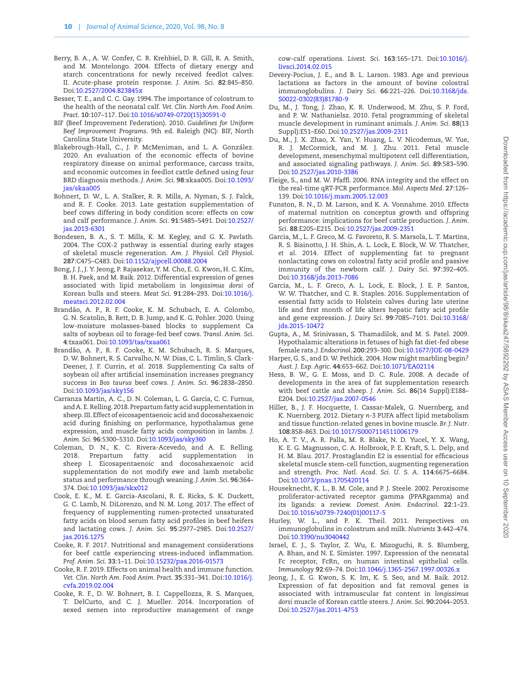- <span id="page-9-9"></span>Berry, B. A., A. W. Confer, C. R. Krehbiel, D. R. Gill, R. A. Smith, and M. Montelongo. 2004. Effects of dietary energy and starch concentrations for newly received feedlot calves: II. Acute-phase protein response. *J. Anim. Sci*. **82**:845–850. Doi:[10.2527/2004.823845x](https://doi.org/10.2527/2004.823845x)
- <span id="page-9-18"></span>Besser, T. E., and C. C. Gay. 1994. The importance of colostrum to the health of the neonatal calf. *Vet. Clin. North Am. Food Anim. Pract*. **10**:107–117. Doi[:10.1016/s0749-0720\(15\)30591-0](https://doi.org/10.1016/s0749-0720(15)30591-0)
- <span id="page-9-19"></span>BIF (Beef Improvement Federation). 2010. *Guidelines for Uniform Beef Improvement Programs*. 9th ed. Raleigh (NC): BIF, North Carolina State University.
- <span id="page-9-28"></span>Blakebrough-Hall, C., J. P. McMeniman, and L. A. González. 2020. An evaluation of the economic effects of bovine respiratory disease on animal performance, carcass traits, and economic outcomes in feedlot cattle defined using four BRD diagnosis methods. *J. Anim. Sci*. **98**:skaa005. Doi:[10.1093/](https://doi.org/10.1093/jas/skaa005) [jas/skaa005](https://doi.org/10.1093/jas/skaa005)
- <span id="page-9-2"></span>Bohnert, D. W., L. A. Stalker, R. R. Mills, A. Nyman, S. J. Falck, and R. F. Cooke. 2013. Late gestation supplementation of beef cows differing in body condition score: effects on cow and calf performance. *J. Anim. Sci*. **91**:5485–5491. Doi[:10.2527/](https://doi.org/10.2527/jas.2013-6301) [jas.2013-6301](https://doi.org/10.2527/jas.2013-6301)
- <span id="page-9-24"></span>Bondesen, B. A., S. T. Mills, K. M. Kegley, and G. K. Pavlath. 2004. The COX-2 pathway is essential during early stages of skeletal muscle regeneration. *Am. J. Physiol. Cell Physiol*. **287**:C475–C483. Doi[:10.1152/ajpcell.00088.2004](https://doi.org/10.1152/ajpcell.00088.2004)
- <span id="page-9-15"></span>Bong, J. J., J. Y. Jeong, P. Rajasekar, Y. M. Cho, E. G. Kwon, H. C. Kim, B. H. Paek, and M. Baik. 2012. Differential expression of genes associated with lipid metabolism in *longissimus dorsi* of Korean bulls and steers. *Meat Sci*. **91**:284–293. Doi:[10.1016/j.](https://doi.org/10.1016/j.meatsci.2012.02.004) [meatsci.2012.02.004](https://doi.org/10.1016/j.meatsci.2012.02.004)
- <span id="page-9-13"></span>Brandão, A. P., R. F. Cooke, K. M. Schubach, E. A. Colombo, G. N. Scatolin, B. Rett, D. B. Jump, and K. G. Pohler. 2020. Using low-moisture molasses-based blocks to supplement Ca salts of soybean oil to forage-fed beef cows. *Transl. Anim. Sci*. **4**:txaa061. Doi:[10.1093/tas/txaa061](https://doi.org/10.1093/tas/txaa061)
- <span id="page-9-12"></span>Brandão, A. P., R. F. Cooke, K. M. Schubach, R. S. Marques, D. W. Bohnert, R. S. Carvalho, N. W. Dias, C. L. Timlin, S. Clark-Deener, J. F. Currin, *et al.* 2018. Supplementing Ca salts of soybean oil after artificial insemination increases pregnancy success in *Bos taurus* beef cows. *J. Anim. Sci*. **96**:2838–2850. Doi:[10.1093/jas/sky156](https://doi.org/10.1093/jas/sky156)
- <span id="page-9-6"></span>Carranza Martin, A. C., D. N. Coleman, L. G. Garcia, C. C. Furnus, and A. E. Relling. 2018. Prepartum fatty acid supplementation in sheep. III. Effect of eicosapentaenoic acid and docosahexaenoic acid during finishing on performance, hypothalamus gene expression, and muscle fatty acids composition in lambs. *J. Anim. Sci*. **96**:5300–5310. Doi[:10.1093/jas/sky360](https://doi.org/10.1093/jas/sky360)
- <span id="page-9-5"></span>Coleman, D. N., K. C. Rivera-Acevedo, and A. E. Relling. 2018. Prepartum fatty acid supplementation in sheep I. Eicosapentaenoic and docosahexaenoic acid supplementation do not modify ewe and lamb metabolic status and performance through weaning. *J. Anim. Sci*. **96**:364– 374. Doi[:10.1093/jas/skx012](https://doi.org/10.1093/jas/skx012)
- <span id="page-9-8"></span>Cook, E. K., M. E. Garcia-Ascolani, R. E. Ricks, S. K. Duckett, G. C. Lamb, N. DiLorenzo, and N. M. Long. 2017. The effect of frequency of supplementing rumen-protected unsaturated fatty acids on blood serum fatty acid profiles in beef heifers and lactating cows. *J. Anim. Sci*. **95**:2977–2985. Doi[:10.2527/](https://doi.org/10.2527/jas.2016.1275) [jas.2016.1275](https://doi.org/10.2527/jas.2016.1275)
- <span id="page-9-30"></span>Cooke, R. F. 2017. Nutritional and management considerations for beef cattle experiencing stress-induced inflammation. *Prof. Anim. Sci*. **33**:1–11. Doi[:10.15232/pas.2016-01573](https://doi.org/10.15232/pas.2016-01573)
- <span id="page-9-23"></span>Cooke, R. F. 2019. Effects on animal health and immune function. *Vet. Clin. North Am. Food Anim. Pract*. **35**:331–341. Doi:[10.1016/j.](https://doi.org/10.1016/j.cvfa.2019.02.004) [cvfa.2019.02.004](https://doi.org/10.1016/j.cvfa.2019.02.004)
- <span id="page-9-7"></span>Cooke, R. F., D. W. Bohnert, B. I. Cappellozza, R. S. Marques, T. DelCurto, and C. J. Mueller. 2014. Incorporation of sexed semen into reproductive management of range

cow-calf operations. *Livest. Sci*. **163**:165–171. Doi:[10.1016/j.](https://doi.org/10.1016/j.livsci.2014.02.015) [livsci.2014.02.015](https://doi.org/10.1016/j.livsci.2014.02.015)

- <span id="page-9-26"></span>Devery-Pocius, J. E., and B. L. Larson. 1983. Age and previous lactations as factors in the amount of bovine colostral immunoglobulins. *J. Dairy Sci*. **66**:221–226. Doi[:10.3168/jds.](https://doi.org/10.3168/jds.S0022-0302(83)81780-9) [S0022-0302\(83\)81780-9](https://doi.org/10.3168/jds.S0022-0302(83)81780-9)
- <span id="page-9-4"></span>Du, M., J. Tong, J. Zhao, K. R. Underwood, M. Zhu, S. P. Ford, and P. W. Nathanielsz. 2010. Fetal programming of skeletal muscle development in ruminant animals. *J. Anim. Sci*. **88**(13 Suppl):E51–E60. Doi[:10.2527/jas.2009-2311](https://doi.org/10.2527/jas.2009-2311)
- <span id="page-9-21"></span>Du, M., J. X. Zhao, X. Yan, Y. Huang, L. V. Nicodemus, W. Yue, R. J. McCormick, and M. J. Zhu. 2011. Fetal muscle development, mesenchymal multipotent cell differentiation, and associated signaling pathways. *J. Anim. Sci*. **89**:583–590. Doi:[10.2527/jas.2010-3386](https://doi.org/10.2527/jas.2010-3386)
- <span id="page-9-10"></span>Fleige, S., and M. W. Pfaffl. 2006. RNA integrity and the effect on the real-time qRT-PCR performance. *Mol. Aspects Med*. **27**:126– 139. Doi[:10.1016/j.mam.2005.12.003](https://doi.org/10.1016/j.mam.2005.12.003)
- <span id="page-9-1"></span>Funston, R. N., D. M. Larson, and K. A. Vonnahme. 2010. Effects of maternal nutrition on conceptus growth and offspring performance: implications for beef cattle production. *J. Anim. Sci*. **88**:E205–E215. Doi[:10.2527/jas.2009-2351](https://doi.org/10.2527/jas.2009-2351)
- <span id="page-9-0"></span>Garcia, M., L. F. Greco, M. G. Favoreto, R. S. Marsola, L. T. Martins, R. S. Bisinotto, J. H. Shin, A. L. Lock, E. Block, W. W. Thatcher, *et al*. 2014. Effect of supplementing fat to pregnant nonlactating cows on colostral fatty acid profile and passive immunity of the newborn calf. *J. Dairy Sci*. **97**:392–405. Doi:[10.3168/jds.2013-7086](https://doi.org/10.3168/jds.2013-7086)
- <span id="page-9-16"></span>Garcia, M., L. F. Greco, A. L. Lock, E. Block, J. E. P. Santos, W. W. Thatcher, and C. R. Staples. 2016. Supplementation of essential fatty acids to Holstein calves during late uterine life and first month of life alters hepatic fatty acid profile and gene expression. *J. Dairy Sci*. **99**:7085–7101. Doi[:10.3168/](https://doi.org/10.3168/jds.2015-10472) [jds.2015-10472](https://doi.org/10.3168/jds.2015-10472)
- <span id="page-9-29"></span>Gupta, A., M. Srinivasan, S. Thamadilok, and M. S. Patel. 2009. Hypothalamic alterations in fetuses of high fat diet-fed obese female rats. *J. Endocrinol*. **200**:293–300. Doi:[10.1677/JOE-08-0429](https://doi.org/10.1677/JOE-08-0429)
- <span id="page-9-3"></span>Harper, G. S., and D. W. Pethick. 2004. How might marbling begin? *Aust. J. Exp. Agric*. **44**:653–662. Doi[:10.1071/EA02114](https://doi.org/10.1071/EA02114)
- <span id="page-9-11"></span>Hess, B. W., G. E. Moss, and D. C. Rule. 2008. A decade of developments in the area of fat supplementation research with beef cattle and sheep. *J. Anim. Sci*. **86**(14 Suppl):E188– E204. Doi[:10.2527/jas.2007-0546](https://doi.org/10.2527/jas.2007-0546)
- <span id="page-9-22"></span>Hiller, B., J. F. Hocquette, I. Cassar-Malek, G. Nuernberg, and K. Nuernberg. 2012. Dietary *n*-3 PUFA affect lipid metabolism and tissue function-related genes in bovine muscle. *Br. J. Nutr*. **108**:858–863. Doi:[10.1017/S0007114511006179](https://doi.org/10.1017/S0007114511006179)
- <span id="page-9-25"></span>Ho, A. T. V., A. R. Palla, M. R. Blake, N. D. Yucel, Y. X. Wang, K. E. G. Magnusson, C. A. Holbrook, P. E. Kraft, S. L. Delp, and H. M. Blau. 2017. Prostaglandin E2 is essential for efficacious skeletal muscle stem-cell function, augmenting regeneration and strength. *Proc. Natl. Acad. Sci. U. S. A*. **114**:6675–6684. Doi:[10.1073/pnas.1705420114](https://doi.org/10.1073/pnas.1705420114)
- <span id="page-9-20"></span>Houseknecht, K. L., B. M. Cole, and P. J. Steele. 2002. Peroxisome proliferator-activated receptor gamma (PPARgamma) and its ligands: a review. *Domest. Anim. Endocrinol*. **22**:1–23. Doi:[10.1016/s0739-7240\(01\)00117-5](https://doi.org/10.1016/s0739-7240(01)00117-5)
- <span id="page-9-17"></span>Hurley, W. L., and P. K. Theil. 2011. Perspectives on immunoglobulins in colostrum and milk. *Nutrients* **3**:442–474. Doi:[10.3390/nu3040442](https://doi.org/10.3390/nu3040442)
- <span id="page-9-27"></span>Israel, E. J., S. Taylor, Z. Wu, E. Mizoguchi, R. S. Blumberg, A. Bhan, and N. E. Simister. 1997. Expression of the neonatal Fc receptor, FcRn, on human intestinal epithelial cells. *Immunology* **92**:69–74. Doi:[10.1046/j.1365-2567.1997.00326.x](https://doi.org/10.1046/j.1365-2567.1997.00326.x)
- <span id="page-9-14"></span>Jeong, J., E. G. Kwon, S. K. Im, K. S. Seo, and M. Baik. 2012. Expression of fat deposition and fat removal genes is associated with intramuscular fat content in *longissimus dorsi* muscle of Korean cattle steers. *J. Anim. Sci*. **90**:2044–2053. Doi:[10.2527/jas.2011-4753](https://doi.org/10.2527/jas.2011-4753)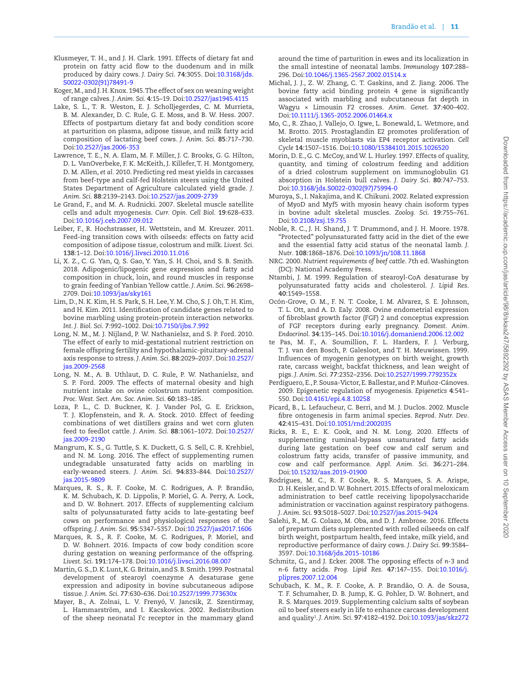- <span id="page-10-11"></span>Klusmeyer, T. H., and J. H. Clark. 1991. Effects of dietary fat and protein on fatty acid flow to the duodenum and in milk produced by dairy cows. *J. Dairy Sci*. **74**:3055. Doi[:10.3168/jds.](https://doi.org/10.3168/jds.S0022-0302(91)78491-9) [S0022-0302\(91\)78491-9](https://doi.org/10.3168/jds.S0022-0302(91)78491-9)
- <span id="page-10-16"></span>Koger, M., and J. H. Knox. 1945. The effect of sex on weaning weight of range calves. *J. Anim. Sci*. **4**:15–19. Doi:[10.2527/jas1945.4115](https://doi.org/10.2527/jas1945.4115)
- <span id="page-10-12"></span>Lake, S. L., T. R. Weston, E. J. Scholljegerdes, C. M. Murrieta, B. M. Alexander, D. C. Rule, G. E. Moss, and B. W. Hess. 2007. Effects of postpartum dietary fat and body condition score at parturition on plasma, adipose tissue, and milk fatty acid composition of lactating beef cows. *J. Anim. Sci*. **85**:717–730. Doi:[10.2527/jas.2006-353](https://doi.org/10.2527/jas.2006-353)
- <span id="page-10-31"></span>Lawrence, T. E., N. A. Elam, M. F. Miller, J. C. Brooks, G. G. Hilton, D. L. VanOverbeke, F. K. McKeith, J. Killefer, T. H. Montgomery, D. M. Allen, *et al.* 2010. Predicting red meat yields in carcasses from beef-type and calf-fed Holstein steers using the United States Department of Agriculture calculated yield grade. *J. Anim. Sci*. **88**:2139–2143. Doi[:10.2527/jas.2009-2739](https://doi.org/10.2527/jas.2009-2739)
- <span id="page-10-24"></span>Le Grand, F., and M. A. Rudnicki. 2007. Skeletal muscle satellite cells and adult myogenesis. *Curr. Opin. Cell Biol*. **19**:628–633. Doi:[10.1016/j.ceb.2007.09.012](https://doi.org/10.1016/j.ceb.2007.09.012)
- <span id="page-10-19"></span>Leiber, F., R. Hochstrasser, H. Wettstein, and M. Kreuzer. 2011. Feed-ing transition cows with oilseeds: effects on fatty acid composition of adipose tissue, colostrum and milk. *Livest. Sci*. **138**:1–12. Doi[:10.1016/j.livsci.2010.11.016](https://doi.org/10.1016/j.livsci.2010.11.016)
- <span id="page-10-13"></span>Li, X. Z., C. G. Yan, Q. S. Gao, Y. Yan, S. H. Choi, and S. B. Smith. 2018. Adipogenic/lipogenic gene expression and fatty acid composition in chuck, loin, and round muscles in response to grain feeding of Yanbian Yellow cattle. *J. Anim. Sci*. **96**:2698– 2709. Doi[:10.1093/jas/sky161](https://doi.org/10.1093/jas/sky161)
- <span id="page-10-20"></span>Lim, D., N. K. Kim, H. S. Park, S. H. Lee, Y. M. Cho, S. J. Oh, T. H. Kim, and H. Kim. 2011. Identification of candidate genes related to bovine marbling using protein-protein interaction networks. *Int. J. Biol. Sci*. **7**:992–1002. Doi[:10.7150/ijbs.7.992](https://doi.org/10.7150/ijbs.7.992)
- <span id="page-10-0"></span>Long, N. M., M. J. Nijland, P. W. Nathanielsz, and S. P. Ford. 2010. The effect of early to mid-gestational nutrient restriction on female offspring fertility and hypothalamic-pituitary-adrenal axis response to stress. *J. Anim. Sci*. **88**:2029–2037. Doi[:10.2527/](https://doi.org/10.2527/jas.2009-2568) [jas.2009-2568](https://doi.org/10.2527/jas.2009-2568)
- <span id="page-10-18"></span>Long, N. M., A. B. Uthlaut, D. C. Rule, P. W. Nathanielsz, and S. P. Ford. 2009. The effects of maternal obesity and high nutrient intake on ovine colostrum nutrient composition. *Proc. West. Sect. Am. Soc. Anim. Sci*. **60**:183–185.
- <span id="page-10-7"></span>Loza, P. L., C. D. Buckner, K. J. Vander Pol, G. E. Erickson, T. J. Klopfenstein, and R. A. Stock. 2010. Effect of feeding combinations of wet distillers grains and wet corn gluten feed to feedlot cattle. *J. Anim. Sci*. **88**:1061–1072. Doi[:10.2527/](https://doi.org/10.2527/jas.2009-2190) [jas.2009-2190](https://doi.org/10.2527/jas.2009-2190)
- <span id="page-10-3"></span>Mangrum, K. S., G. Tuttle, S. K. Duckett, G. S. Sell, C. R. Krehbiel, and N. M. Long. 2016. The effect of supplementing rumen undegradable unsaturated fatty acids on marbling in early-weaned steers. *J. Anim. Sci*. **94**:833–844. Doi[:10.2527/](https://doi.org/10.2527/jas.2015-9809) [jas.2015-9809](https://doi.org/10.2527/jas.2015-9809)
- <span id="page-10-2"></span>Marques, R. S., R. F. Cooke, M. C. Rodrigues, A. P. Brandão, K. M. Schubach, K. D. Lippolis, P. Moriel, G. A. Perry, A. Lock, and D. W. Bohnert. 2017. Effects of supplementing calcium salts of polyunsaturated fatty acids to late-gestating beef cows on performance and physiological responses of the offspring. *J. Anim. Sci*. **95**:5347–5357. Doi[:10.2527/jas2017.1606](https://doi.org/10.2527/jas2017.1606)
- <span id="page-10-1"></span>Marques, R. S., R. F. Cooke, M. C. Rodrigues, P. Moriel, and D. W. Bohnert. 2016. Impacts of cow body condition score during gestation on weaning performance of the offspring. *Livest. Sci*. **191**:174–178. Doi:[10.1016/j.livsci.2016.08.007](https://doi.org/10.1016/j.livsci.2016.08.007)
- <span id="page-10-23"></span>Martin, G. S., D. K. Lunt, K. G. Britain, and S. B. Smith. 1999. Postnatal development of stearoyl coenzyme A desaturase gene expression and adiposity in bovine subcutaneous adipose tissue. *J. Anim. Sci*. **77**:630–636. Doi[:10.2527/1999.773630x](https://doi.org/10.2527/1999.773630x)
- <span id="page-10-28"></span>Mayer, B., A. Zolnai, L. V. Frenyó, V. Jancsik, Z. Szentirmay, L. Hammarström, and I. Kacskovics. 2002. Redistribution of the sheep neonatal Fc receptor in the mammary gland

around the time of parturition in ewes and its localization in the small intestine of neonatal lambs. *Immunology* **107**:288– 296. Doi[:10.1046/j.1365-2567.2002.01514.x](https://doi.org/10.1046/j.1365-2567.2002.01514.x)

- <span id="page-10-21"></span>Michal, J. J., Z. W. Zhang, C. T. Gaskins, and Z. Jiang. 2006. The bovine fatty acid binding protein 4 gene is significantly associated with marbling and subcutaneous fat depth in Wagyu × Limousin F2 crosses. *Anim. Genet*. **37**:400–402. Doi:[10.1111/j.1365-2052.2006.01464.x](https://doi.org/10.1111/j.1365-2052.2006.01464.x)
- <span id="page-10-26"></span>Mo, C., R. Zhao, J. Vallejo, O. Igwe, L. Bonewald, L. Wetmore, and M. Brotto. 2015. Prostaglandin E2 promotes proliferation of skeletal muscle myoblasts via EP4 receptor activation. *Cell Cycle* **14**:1507–1516. Doi[:10.1080/15384101.2015.1026520](https://doi.org/10.1080/15384101.2015.1026520)
- <span id="page-10-27"></span>Morin, D. E., G. C. McCoy, and W. L. Hurley. 1997. Effects of quality, quantity, and timing of colostrum feeding and addition of a dried colostrum supplement on immunoglobulin G1 absorption in Holstein bull calves. *J. Dairy Sci*. **80**:747–753. Doi:[10.3168/jds.S0022-0302\(97\)75994-0](https://doi.org/10.3168/jds.S0022-0302(97)75994-0)
- <span id="page-10-14"></span>Muroya, S., I. Nakajima, and K. Chikuni. 2002. Related expression of MyoD and Myf5 with myosin heavy chain isoform types in bovine adult skeletal muscles. *Zoolog. Sci*. **19**:755–761. Doi:[10.2108/zsj.19.755](https://doi.org/10.2108/zsj.19.755)
- <span id="page-10-17"></span>Noble, R. C., J. H. Shand, J. T. Drummond, and J. H. Moore. 1978. "Protected" polyunsaturated fatty acid in the diet of the ewe and the essential fatty acid status of the neonatal lamb. *J. Nutr*. **108**:1868–1876. Doi:[10.1093/jn/108.11.1868](https://doi.org/10.1093/jn/108.11.1868)
- <span id="page-10-6"></span>NRC. 2000. *Nutrient requirements of beef cattle*. 7th ed. Washington (DC): National Academy Press.
- <span id="page-10-22"></span>Ntambi, J. M. 1999. Regulation of stearoyl-CoA desaturase by polyunsaturated fatty acids and cholesterol. *J. Lipid Res*. **40**:1549–1558.
- <span id="page-10-9"></span>Ocón-Grove, O. M., F. N. T. Cooke, I. M. Alvarez, S. E. Johnson, T. L. Ott, and A. D. Ealy. 2008. Ovine endometrial expression of fibroblast growth factor (FGF) 2 and conceptus expression of FGF receptors during early pregnancy. *Domest. Anim. Endocrinol*. **34**:135–145. Doi[:10.1016/j.domaniend.2006.12.002](https://doi.org/10.1016/j.domaniend.2006.12.002)
- <span id="page-10-29"></span>te Pas, M. F., A. Soumillion, F. L. Harders, F. J. Verburg, T. J. van den Bosch, P. Galesloot, and T. H. Meuwissen. 1999. Influences of myogenin genotypes on birth weight, growth rate, carcass weight, backfat thickness, and lean weight of pigs. *J. Anim. Sci*. **77**:2352–2356. Doi:[10.2527/1999.7792352x](https://doi.org/10.2527/1999.7792352x)
- <span id="page-10-25"></span>Perdiguero, E., P. Sousa-Victor, E. Ballestar, and P. Muñoz-Cánoves. 2009. Epigenetic regulation of myogenesis. *Epigenetics* **4**:541– 550. Doi[:10.4161/epi.4.8.10258](https://doi.org/10.4161/epi.4.8.10258)
- <span id="page-10-30"></span>Picard, B., L. Lefaucheur, C. Berri, and M. J. Duclos. 2002. Muscle fibre ontogenesis in farm animal species. *Reprod. Nutr. Dev*. **42**:415–431. Doi[:10.1051/rnd:2002035](https://doi.org/10.1051/rnd:2002035)
- <span id="page-10-5"></span>Ricks, R. E., E. K. Cook, and N. M. Long. 2020. Effects of supplementing ruminal-bypass unsaturated fatty acids during late gestation on beef cow and calf serum and colostrum fatty acids, transfer of passive immunity, and cow and calf performance. *Appl. Anim. Sci*. **36**:271–284. Doi:[10.15232/aas.2019-01900](https://doi.org/10.15232/aas.2019-01900)
- <span id="page-10-8"></span>Rodrigues, M. C., R. F. Cooke, R. S. Marques, S. A. Arispe, D. H. Keisler, and D. W. Bohnert. 2015. Effects of oral meloxicam administration to beef cattle receiving lipopolysaccharide administration or vaccination against respiratory pathogens. *J. Anim. Sci*. **93**:5018–5027. Doi[:10.2527/jas.2015-9424](https://doi.org/10.2527/jas.2015-9424)
- <span id="page-10-10"></span>Salehi, R., M. G. Colazo, M. Oba, and D. J. Ambrose. 2016. Effects of prepartum diets supplemented with rolled oilseeds on calf birth weight, postpartum health, feed intake, milk yield, and reproductive performance of dairy cows. *J. Dairy Sci*. **99**:3584– 3597. Doi[:10.3168/jds.2015-10186](https://doi.org/10.3168/jds.2015-10186)
- <span id="page-10-15"></span>Schmitz, G., and J. Ecker. 2008. The opposing effects of *n*-3 and *n*-6 fatty acids. *Prog. Lipid Res*. **47**:147–155. Doi:[10.1016/j.](https://doi.org/10.1016/j.plipres.2007.12.004) [plipres.2007.12.004](https://doi.org/10.1016/j.plipres.2007.12.004)
- <span id="page-10-4"></span>Schubach, K. M., R. F. Cooke, A. P. Brandão, O. A. de Sousa, T. F. Schumaher, D. B. Jump, K. G. Pohler, D. W. Bohnert, and R. S. Marques. 2019. Supplementing calcium salts of soybean oil to beef steers early in life to enhance carcass development and quality1 . *J. Anim. Sci*. **97**:4182–4192. Doi[:10.1093/jas/skz272](https://doi.org/10.1093/jas/skz272)